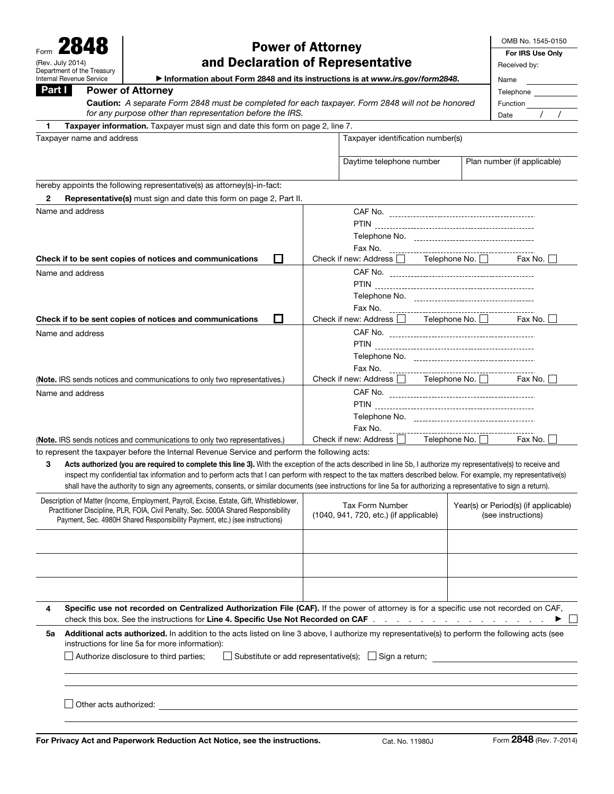| 2848 | OMB No. 1545-0150                              |                                                                                                                                                                                                                                                                                                                                       |                                                                  |                                                |                                      |                    |  |
|------|------------------------------------------------|---------------------------------------------------------------------------------------------------------------------------------------------------------------------------------------------------------------------------------------------------------------------------------------------------------------------------------------|------------------------------------------------------------------|------------------------------------------------|--------------------------------------|--------------------|--|
|      | For IRS Use Only                               |                                                                                                                                                                                                                                                                                                                                       |                                                                  |                                                |                                      |                    |  |
|      | (Rev. July 2014)<br>Department of the Treasury | and Declaration of Representative                                                                                                                                                                                                                                                                                                     |                                                                  |                                                |                                      | Received by:       |  |
|      | <b>Internal Revenue Service</b>                | Information about Form 2848 and its instructions is at www.irs.gov/form2848.                                                                                                                                                                                                                                                          | Name                                                             |                                                |                                      |                    |  |
|      | <b>Power of Attorney</b><br>Part I             |                                                                                                                                                                                                                                                                                                                                       |                                                                  |                                                |                                      |                    |  |
|      |                                                | Caution: A separate Form 2848 must be completed for each taxpayer. Form 2848 will not be honored                                                                                                                                                                                                                                      |                                                                  |                                                |                                      | Function           |  |
|      |                                                | for any purpose other than representation before the IRS.                                                                                                                                                                                                                                                                             |                                                                  |                                                |                                      | Date               |  |
| 1.   |                                                | Taxpayer information. Taxpayer must sign and date this form on page 2, line 7.                                                                                                                                                                                                                                                        |                                                                  |                                                |                                      |                    |  |
|      | Taxpayer name and address                      |                                                                                                                                                                                                                                                                                                                                       |                                                                  | Taxpayer identification number(s)              |                                      |                    |  |
|      |                                                |                                                                                                                                                                                                                                                                                                                                       | Daytime telephone number                                         |                                                | Plan number (if applicable)          |                    |  |
|      |                                                |                                                                                                                                                                                                                                                                                                                                       |                                                                  |                                                |                                      |                    |  |
|      |                                                | hereby appoints the following representative(s) as attorney(s)-in-fact:                                                                                                                                                                                                                                                               |                                                                  |                                                |                                      |                    |  |
| 2    |                                                | Representative(s) must sign and date this form on page 2, Part II.                                                                                                                                                                                                                                                                    |                                                                  |                                                |                                      |                    |  |
|      | Name and address                               |                                                                                                                                                                                                                                                                                                                                       |                                                                  |                                                |                                      |                    |  |
|      |                                                |                                                                                                                                                                                                                                                                                                                                       |                                                                  |                                                |                                      |                    |  |
|      |                                                |                                                                                                                                                                                                                                                                                                                                       |                                                                  |                                                |                                      |                    |  |
|      |                                                |                                                                                                                                                                                                                                                                                                                                       |                                                                  | Fax No.                                        |                                      |                    |  |
|      |                                                | Check if to be sent copies of notices and communications<br>l I                                                                                                                                                                                                                                                                       |                                                                  | Check if new: Address <b>The Telephone No.</b> |                                      | Fax No. I          |  |
|      | Name and address                               |                                                                                                                                                                                                                                                                                                                                       |                                                                  |                                                |                                      |                    |  |
|      |                                                |                                                                                                                                                                                                                                                                                                                                       |                                                                  |                                                |                                      |                    |  |
|      |                                                |                                                                                                                                                                                                                                                                                                                                       |                                                                  | Fax No.                                        |                                      |                    |  |
|      |                                                | П<br>Check if to be sent copies of notices and communications                                                                                                                                                                                                                                                                         |                                                                  | Check if new: Address <b>The Telephone No.</b> |                                      | Fax No. I          |  |
|      | Name and address                               |                                                                                                                                                                                                                                                                                                                                       |                                                                  |                                                |                                      |                    |  |
|      |                                                |                                                                                                                                                                                                                                                                                                                                       |                                                                  |                                                |                                      |                    |  |
|      |                                                |                                                                                                                                                                                                                                                                                                                                       |                                                                  |                                                |                                      |                    |  |
|      |                                                |                                                                                                                                                                                                                                                                                                                                       |                                                                  | Fax No.                                        |                                      |                    |  |
|      |                                                | (Note. IRS sends notices and communications to only two representatives.)                                                                                                                                                                                                                                                             | Check if new: Address Telephone No.<br>Fax No.                   |                                                |                                      |                    |  |
|      | Name and address                               |                                                                                                                                                                                                                                                                                                                                       |                                                                  |                                                |                                      |                    |  |
|      |                                                |                                                                                                                                                                                                                                                                                                                                       |                                                                  |                                                |                                      |                    |  |
|      |                                                |                                                                                                                                                                                                                                                                                                                                       |                                                                  |                                                |                                      |                    |  |
|      |                                                |                                                                                                                                                                                                                                                                                                                                       |                                                                  | Fax No.                                        |                                      |                    |  |
|      |                                                | (Note. IRS sends notices and communications to only two representatives.)                                                                                                                                                                                                                                                             |                                                                  | Check if new: Address [                        | Telephone No. □                      | Fax No.            |  |
|      |                                                | to represent the taxpayer before the Internal Revenue Service and perform the following acts:                                                                                                                                                                                                                                         |                                                                  |                                                |                                      |                    |  |
| з    |                                                | Acts authorized (you are required to complete this line 3). With the exception of the acts described in line 5b, I authorize my representative(s) to receive and<br>inspect my confidential tax information and to perform acts that I can perform with respect to the tax matters described below. For example, my representative(s) |                                                                  |                                                |                                      |                    |  |
|      |                                                | shall have the authority to sign any agreements, consents, or similar documents (see instructions for line 5a for authorizing a representative to sign a return).                                                                                                                                                                     |                                                                  |                                                |                                      |                    |  |
|      |                                                | Description of Matter (Income, Employment, Payroll, Excise, Estate, Gift, Whistleblower,                                                                                                                                                                                                                                              |                                                                  |                                                |                                      |                    |  |
|      |                                                | Practitioner Discipline, PLR, FOIA, Civil Penalty, Sec. 5000A Shared Responsibility                                                                                                                                                                                                                                                   | <b>Tax Form Number</b><br>(1040, 941, 720, etc.) (if applicable) |                                                | Year(s) or Period(s) (if applicable) |                    |  |
|      |                                                | Payment, Sec. 4980H Shared Responsibility Payment, etc.) (see instructions)                                                                                                                                                                                                                                                           |                                                                  |                                                |                                      | (see instructions) |  |
|      |                                                |                                                                                                                                                                                                                                                                                                                                       |                                                                  |                                                |                                      |                    |  |
|      |                                                |                                                                                                                                                                                                                                                                                                                                       |                                                                  |                                                |                                      |                    |  |
|      |                                                |                                                                                                                                                                                                                                                                                                                                       |                                                                  |                                                |                                      |                    |  |
|      |                                                |                                                                                                                                                                                                                                                                                                                                       |                                                                  |                                                |                                      |                    |  |
|      |                                                |                                                                                                                                                                                                                                                                                                                                       |                                                                  |                                                |                                      |                    |  |
| 4    |                                                | Specific use not recorded on Centralized Authorization File (CAF). If the power of attorney is for a specific use not recorded on CAF,                                                                                                                                                                                                |                                                                  |                                                |                                      |                    |  |
|      |                                                | check this box. See the instructions for Line 4. Specific Use Not Recorded on CAF                                                                                                                                                                                                                                                     |                                                                  |                                                |                                      |                    |  |
| 5а   |                                                | Additional acts authorized. In addition to the acts listed on line 3 above, I authorize my representative(s) to perform the following acts (see<br>instructions for line 5a for more information):                                                                                                                                    |                                                                  |                                                |                                      |                    |  |
|      |                                                | Substitute or add representative(s);<br>Authorize disclosure to third parties;                                                                                                                                                                                                                                                        |                                                                  | $\Box$ Sign a return;                          |                                      |                    |  |

□ Other acts authorized: \_\_